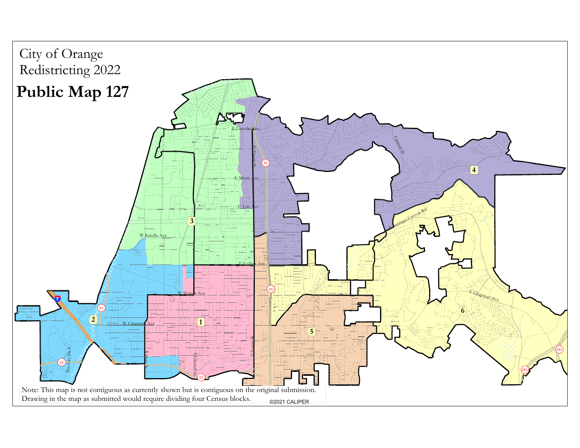